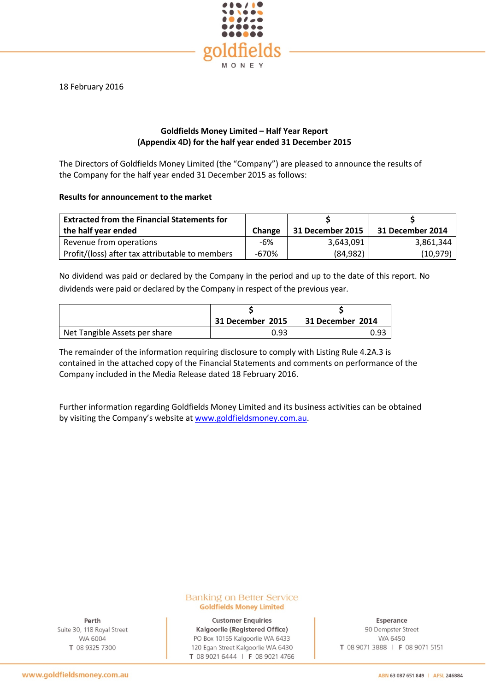

18 February 2016

# **Goldfields Money Limited – Half Year Report (Appendix 4D) for the half year ended 31 December 2015**

The Directors of Goldfields Money Limited (the "Company") are pleased to announce the results of the Company for the half year ended 31 December 2015 as follows:

# **Results for announcement to the market**

| <b>Extracted from the Financial Statements for</b><br>the half year ended | <b>Change</b> | 31 December 2015 | 31 December 2014 |
|---------------------------------------------------------------------------|---------------|------------------|------------------|
| Revenue from operations                                                   | -6%           | 3,643,091        | 3,861,344        |
| Profit/(loss) after tax attributable to members                           | -670%         | (84, 982)        | (10, 979)        |

No dividend was paid or declared by the Company in the period and up to the date of this report. No dividends were paid or declared by the Company in respect of the previous year.

|                               | 31 December 2015 | 31 December 2014 |
|-------------------------------|------------------|------------------|
| Net Tangible Assets per share | 0.93             | 0.93             |

The remainder of the information requiring disclosure to comply with Listing Rule 4.2A.3 is contained in the attached copy of the Financial Statements and comments on performance of the Company included in the Media Release dated 18 February 2016.

Further information regarding Goldfields Money Limited and its business activities can be obtained by visiting the Company's website a[t www.goldfieldsmoney.com.au.](http://www.goldfieldsmoney.com.au/)

## **Banking on Better Service Goldfields Money Limited**

Perth Suite 30, 118 Royal Street WA 6004 T 08 9325 7300

**Customer Enquiries** Kalgoorlie (Registered Office) PO Box 10155 Kalgoorlie WA 6433 120 Egan Street Kalgoorlie WA 6430 T 08 9021 6444 | F 08 9021 4766

Esperance 90 Dempster Street WA 6450 T 08 9071 3888 | F 08 9071 5151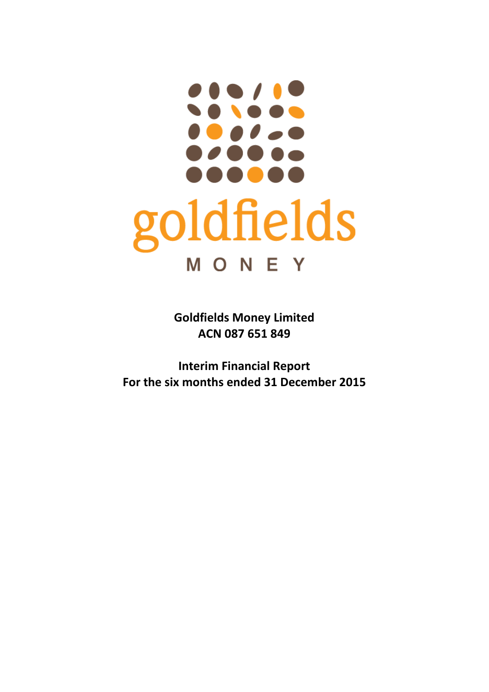# ..... ...... goldfields MONEY

**Goldfields Money Limited ACN 087 651 849**

**Interim Financial Report For the six months ended 31 December 2015**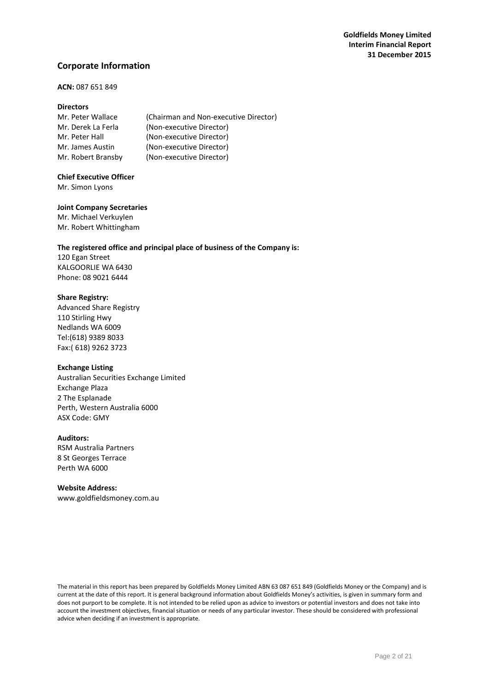# **Corporate Information**

# **ACN:** 087 651 849

## **Directors**

| Mr. Peter Wallace  | (Chairman and Non-executive Director) |
|--------------------|---------------------------------------|
| Mr. Derek La Ferla | (Non-executive Director)              |
| Mr. Peter Hall     | (Non-executive Director)              |
| Mr. James Austin   | (Non-executive Director)              |
| Mr. Robert Bransby | (Non-executive Director)              |

# **Chief Executive Officer**

Mr. Simon Lyons

## **Joint Company Secretaries**

Mr. Michael Verkuylen Mr. Robert Whittingham

## **The registered office and principal place of business of the Company is:**

120 Egan Street KALGOORLIE WA 6430 Phone: 08 9021 6444

## **Share Registry:**

Advanced Share Registry 110 Stirling Hwy Nedlands WA 6009 Tel:(618) 9389 8033 Fax:( 618) 9262 3723

#### **Exchange Listing**

Australian Securities Exchange Limited Exchange Plaza 2 The Esplanade Perth, Western Australia 6000 ASX Code: GMY

# **Auditors:**

RSM Australia Partners 8 St Georges Terrace Perth WA 6000

#### **Website Address:**

[www.goldfieldsmoney.com.au](http://www.goldfieldsmoney.com.au/)

The material in this report has been prepared by Goldfields Money Limited ABN 63 087 651 849 (Goldfields Money or the Company) and is current at the date of this report. It is general background information about Goldfields Money's activities, is given in summary form and does not purport to be complete. It is not intended to be relied upon as advice to investors or potential investors and does not take into account the investment objectives, financial situation or needs of any particular investor. These should be considered with professional advice when deciding if an investment is appropriate.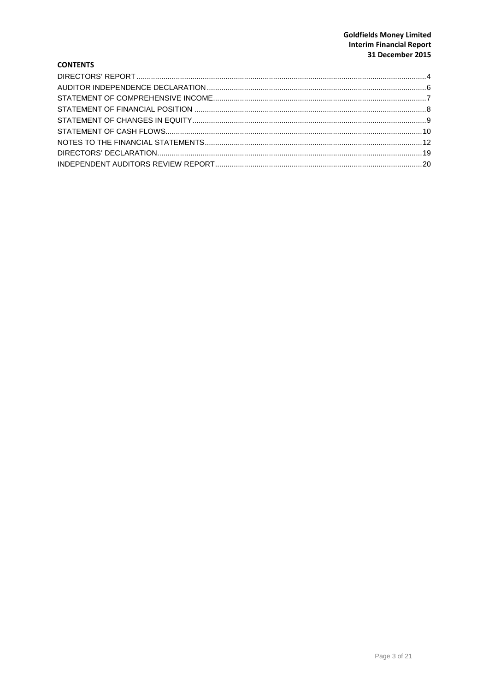# **Goldfields Money Limited Interim Financial Report** 31 December 2015

# **CONTENTS**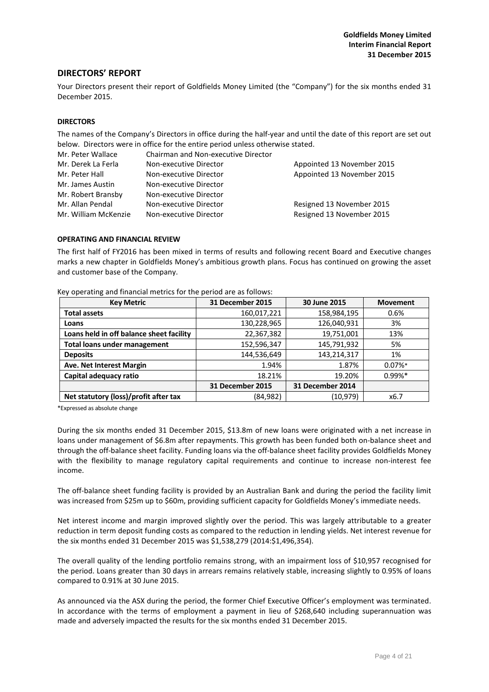# <span id="page-4-0"></span>**DIRECTORS' REPORT**

Your Directors present their report of Goldfields Money Limited (the "Company") for the six months ended 31 December 2015.

#### **DIRECTORS**

The names of the Company's Directors in office during the half-year and until the date of this report are set out below. Directors were in office for the entire period unless otherwise stated.

| Mr. Peter Wallace    | Chairman and Non-executive Director |                            |
|----------------------|-------------------------------------|----------------------------|
| Mr. Derek La Ferla   | Non-executive Director              | Appointed 13 November 2015 |
| Mr. Peter Hall       | Non-executive Director              | Appointed 13 November 2015 |
| Mr. James Austin     | Non-executive Director              |                            |
| Mr. Robert Bransby   | Non-executive Director              |                            |
| Mr. Allan Pendal     | Non-executive Director              | Resigned 13 November 2015  |
| Mr. William McKenzie | Non-executive Director              | Resigned 13 November 2015  |

#### **OPERATING AND FINANCIAL REVIEW**

The first half of FY2016 has been mixed in terms of results and following recent Board and Executive changes marks a new chapter in Goldfields Money's ambitious growth plans. Focus has continued on growing the asset and customer base of the Company.

| <b>Key Metric</b>                        | 31 December 2015 | 30 June 2015     | <b>Movement</b> |
|------------------------------------------|------------------|------------------|-----------------|
| <b>Total assets</b>                      | 160,017,221      | 158,984,195      | 0.6%            |
| Loans                                    | 130,228,965      | 126,040,931      | 3%              |
| Loans held in off balance sheet facility | 22,367,382       | 19,751,001       | 13%             |
| <b>Total loans under management</b>      | 152,596,347      | 145,791,932      | 5%              |
| <b>Deposits</b>                          | 144,536,649      | 143,214,317      | 1%              |
| Ave. Net Interest Margin                 | 1.94%            | 1.87%            | $0.07\%*$       |
| Capital adequacy ratio                   | 18.21%           | 19.20%           | $0.99\%*$       |
|                                          | 31 December 2015 | 31 December 2014 |                 |
| Net statutory (loss)/profit after tax    | (84, 982)        | (10,979)         | x6.7            |

Key operating and financial metrics for the period are as follows:

\*Expressed as absolute change

During the six months ended 31 December 2015, \$13.8m of new loans were originated with a net increase in loans under management of \$6.8m after repayments. This growth has been funded both on-balance sheet and through the off-balance sheet facility. Funding loans via the off-balance sheet facility provides Goldfields Money with the flexibility to manage regulatory capital requirements and continue to increase non-interest fee income.

The off-balance sheet funding facility is provided by an Australian Bank and during the period the facility limit was increased from \$25m up to \$60m, providing sufficient capacity for Goldfields Money's immediate needs.

Net interest income and margin improved slightly over the period. This was largely attributable to a greater reduction in term deposit funding costs as compared to the reduction in lending yields. Net interest revenue for the six months ended 31 December 2015 was \$1,538,279 (2014:\$1,496,354).

The overall quality of the lending portfolio remains strong, with an impairment loss of \$10,957 recognised for the period. Loans greater than 30 days in arrears remains relatively stable, increasing slightly to 0.95% of loans compared to 0.91% at 30 June 2015.

As announced via the ASX during the period, the former Chief Executive Officer's employment was terminated. In accordance with the terms of employment a payment in lieu of \$268,640 including superannuation was made and adversely impacted the results for the six months ended 31 December 2015.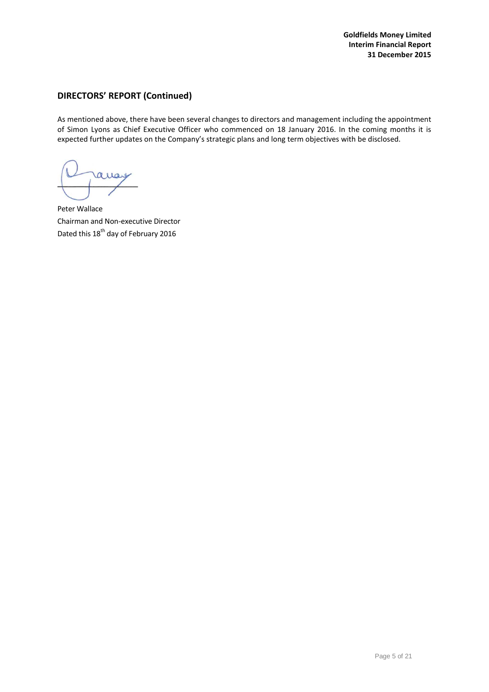# **DIRECTORS' REPORT (Continued)**

As mentioned above, there have been several changes to directors and management including the appointment of Simon Lyons as Chief Executive Officer who commenced on 18 January 2016. In the coming months it is expected further updates on the Company's strategic plans and long term objectives with be disclosed.

Peter Wallace Chairman and Non-executive Director Dated this 18<sup>th</sup> day of February 2016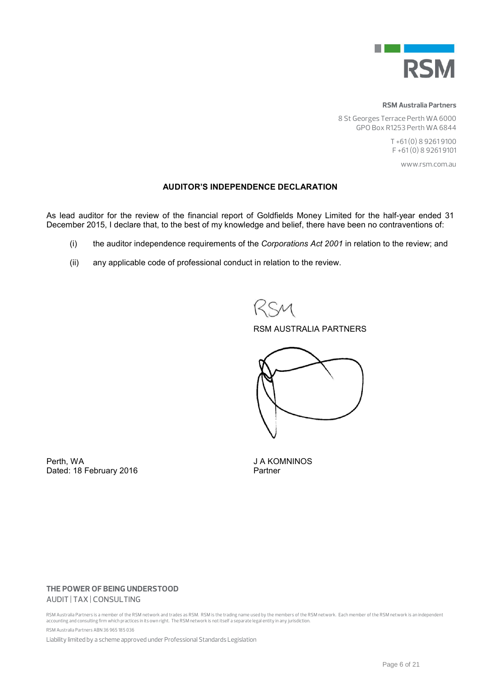

**RSM Australia Partners** 

8 St Georges Terrace Perth WA 6000 GPO Box R1253 Perth WA 6844

> T +61 (0) 8 9261 9100 F +61 (0) 8 9261 9101

> > www.rsm.com.au

# AUDITOR'S INDEPENDENCE DECLARATION

As lead auditor for the review of the financial report of Goldfields Money Limited for the half-year ended 31 December 2015, I declare that, to the best of my knowledge and belief, there have been no contraventions of:

- (i) the auditor independence requirements of the *Corporations Act 2001* in relation to the review; and
- (ii) any applicable code of professional conduct in relation to the review.

# RSM AUSTRALIA PARTNERS



Perth, WA J A KOMNINOS Dated: 18 February 2016 **Partner** 

# **THE POWER OF BEING UNDERSTOOD**  AUDIT | TAX | CONSULTING

RSM Australia Partners is a member of the RSM network and trades as RSM. RSM is the trading name used by the members of the RSM network. Each member of the RSM network is an independent<br>accounting and consulting firm which RSM Australia Partners ABN 36 965 185 036

Liability limited by a scheme approved under Professional Standards Legislation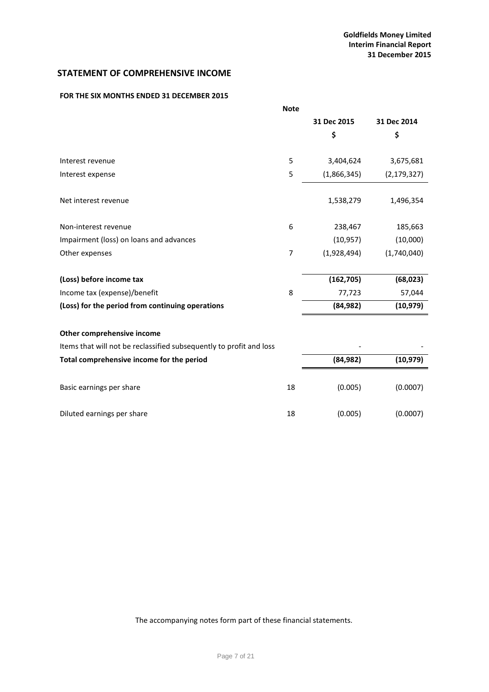# <span id="page-7-0"></span>**STATEMENT OF COMPREHENSIVE INCOME**

# **FOR THE SIX MONTHS ENDED 31 DECEMBER 2015**

|                                                                     | <b>Note</b> |             |               |
|---------------------------------------------------------------------|-------------|-------------|---------------|
|                                                                     |             | 31 Dec 2015 | 31 Dec 2014   |
|                                                                     |             | \$          | \$            |
|                                                                     |             |             |               |
| Interest revenue                                                    | 5           | 3,404,624   | 3,675,681     |
| Interest expense                                                    | 5           | (1,866,345) | (2, 179, 327) |
| Net interest revenue                                                |             | 1,538,279   | 1,496,354     |
| Non-interest revenue                                                | 6           | 238,467     | 185,663       |
| Impairment (loss) on loans and advances                             |             | (10, 957)   | (10,000)      |
| Other expenses                                                      | 7           | (1,928,494) | (1,740,040)   |
|                                                                     |             |             |               |
| (Loss) before income tax                                            |             | (162, 705)  | (68, 023)     |
| Income tax (expense)/benefit                                        | 8           | 77,723      | 57,044        |
| (Loss) for the period from continuing operations                    |             | (84, 982)   | (10, 979)     |
| Other comprehensive income                                          |             |             |               |
| Items that will not be reclassified subsequently to profit and loss |             |             |               |
| Total comprehensive income for the period                           |             | (84, 982)   | (10, 979)     |
| Basic earnings per share                                            | 18          | (0.005)     | (0.0007)      |

Diluted earnings per share 18 (0.005) (0.0007)

The accompanying notes form part of these financial statements.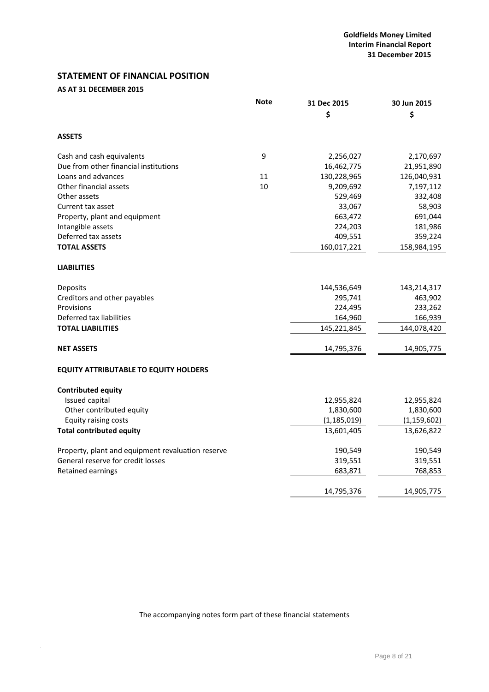# <span id="page-8-0"></span>**STATEMENT OF FINANCIAL POSITION**

# **AS AT 31 DECEMBER 2015**

.

|                                                   | <b>Note</b> | 31 Dec 2015   | 30 Jun 2015   |
|---------------------------------------------------|-------------|---------------|---------------|
|                                                   |             | \$            | \$            |
| <b>ASSETS</b>                                     |             |               |               |
| Cash and cash equivalents                         | 9           | 2,256,027     | 2,170,697     |
| Due from other financial institutions             |             | 16,462,775    | 21,951,890    |
| Loans and advances                                | 11          | 130,228,965   | 126,040,931   |
| Other financial assets                            | 10          | 9,209,692     | 7,197,112     |
| Other assets                                      |             | 529,469       | 332,408       |
| Current tax asset                                 |             | 33,067        | 58,903        |
| Property, plant and equipment                     |             | 663,472       | 691,044       |
| Intangible assets                                 |             | 224,203       | 181,986       |
| Deferred tax assets                               |             | 409,551       | 359,224       |
| <b>TOTAL ASSETS</b>                               |             | 160,017,221   | 158,984,195   |
| <b>LIABILITIES</b>                                |             |               |               |
| Deposits                                          |             | 144,536,649   | 143,214,317   |
| Creditors and other payables                      |             | 295,741       | 463,902       |
| Provisions                                        |             | 224,495       | 233,262       |
| Deferred tax liabilities                          |             | 164,960       | 166,939       |
| <b>TOTAL LIABILITIES</b>                          |             | 145,221,845   | 144,078,420   |
| <b>NET ASSETS</b>                                 |             | 14,795,376    | 14,905,775    |
| <b>EQUITY ATTRIBUTABLE TO EQUITY HOLDERS</b>      |             |               |               |
| <b>Contributed equity</b>                         |             |               |               |
| Issued capital                                    |             | 12,955,824    | 12,955,824    |
| Other contributed equity                          |             | 1,830,600     | 1,830,600     |
| Equity raising costs                              |             | (1, 185, 019) | (1, 159, 602) |
| <b>Total contributed equity</b>                   |             | 13,601,405    | 13,626,822    |
| Property, plant and equipment revaluation reserve |             | 190,549       | 190,549       |
| General reserve for credit losses                 |             | 319,551       | 319,551       |
| Retained earnings                                 |             | 683,871       | 768,853       |
|                                                   |             | 14,795,376    | 14,905,775    |

The accompanying notes form part of these financial statements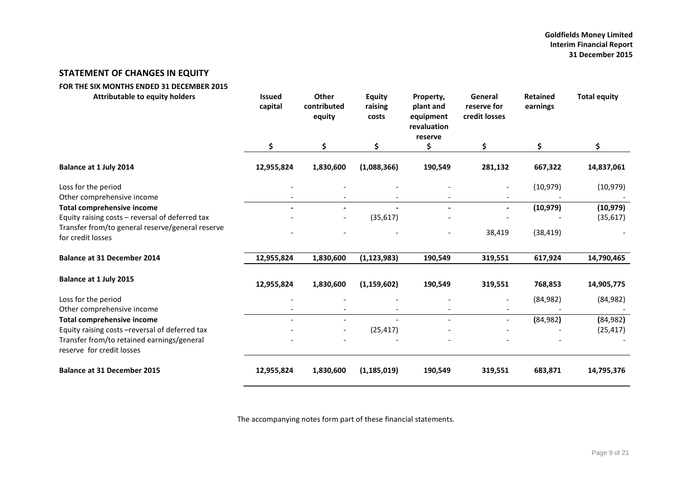# **STATEMENT OF CHANGES IN EQUITY**

<span id="page-9-0"></span>

| FOR THE SIX MONTHS ENDED 31 DECEMBER 2015                               |                          |                                       |                                   |                                                               |                                         |                             |                     |
|-------------------------------------------------------------------------|--------------------------|---------------------------------------|-----------------------------------|---------------------------------------------------------------|-----------------------------------------|-----------------------------|---------------------|
| <b>Attributable to equity holders</b>                                   | <b>Issued</b><br>capital | <b>Other</b><br>contributed<br>equity | <b>Equity</b><br>raising<br>costs | Property,<br>plant and<br>equipment<br>revaluation<br>reserve | General<br>reserve for<br>credit losses | <b>Retained</b><br>earnings | <b>Total equity</b> |
|                                                                         | \$                       | \$.                                   | \$                                | \$                                                            | \$                                      | \$                          | \$                  |
| Balance at 1 July 2014                                                  | 12,955,824               | 1,830,600                             | (1,088,366)                       | 190,549                                                       | 281,132                                 | 667,322                     | 14,837,061          |
| Loss for the period<br>Other comprehensive income                       |                          |                                       |                                   |                                                               |                                         | (10, 979)                   | (10, 979)           |
| <b>Total comprehensive income</b>                                       |                          | $\overline{\phantom{a}}$              |                                   |                                                               |                                         | (10, 979)                   | (10, 979)           |
| Equity raising costs - reversal of deferred tax                         |                          | $\overline{\phantom{a}}$              | (35, 617)                         |                                                               |                                         |                             | (35, 617)           |
| Transfer from/to general reserve/general reserve<br>for credit losses   |                          |                                       |                                   | $\overline{\phantom{a}}$                                      | 38,419                                  | (38, 419)                   |                     |
| <b>Balance at 31 December 2014</b>                                      | 12,955,824               | 1,830,600                             | (1, 123, 983)                     | 190,549                                                       | 319,551                                 | 617,924                     | 14,790,465          |
| Balance at 1 July 2015                                                  | 12,955,824               | 1,830,600                             | (1, 159, 602)                     | 190,549                                                       | 319,551                                 | 768,853                     | 14,905,775          |
| Loss for the period                                                     |                          |                                       |                                   |                                                               |                                         | (84, 982)                   | (84, 982)           |
| Other comprehensive income                                              |                          |                                       |                                   |                                                               |                                         |                             |                     |
| <b>Total comprehensive income</b>                                       |                          | $\overline{\phantom{a}}$              |                                   |                                                               |                                         | (84, 982)                   | (84, 982)           |
| Equity raising costs - reversal of deferred tax                         |                          | $\qquad \qquad -$                     | (25, 417)                         |                                                               |                                         |                             | (25, 417)           |
| Transfer from/to retained earnings/general<br>reserve for credit losses |                          |                                       |                                   |                                                               |                                         |                             |                     |
| <b>Balance at 31 December 2015</b>                                      | 12,955,824               | 1,830,600                             | (1, 185, 019)                     | 190,549                                                       | 319,551                                 | 683,871                     | 14,795,376          |

The accompanying notes form part of these financial statements.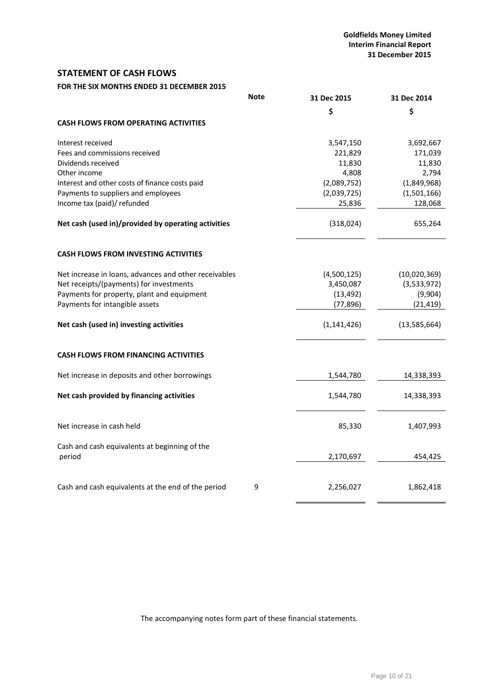# <span id="page-10-0"></span>**STATEMENT OF CASH FLOWS**

# **FOR THE SIX MONTHS ENDED 31 DECEMBER 2015**

|                                                         | <b>Note</b> | 31 Dec 2015   | 31 Dec 2014    |
|---------------------------------------------------------|-------------|---------------|----------------|
|                                                         |             | \$            | \$             |
| <b>CASH FLOWS FROM OPERATING ACTIVITIES</b>             |             |               |                |
| Interest received                                       |             | 3,547,150     | 3,692,667      |
| Fees and commissions received                           |             | 221,829       | 171,039        |
| Dividends received                                      |             | 11,830        | 11,830         |
| Other income                                            |             | 4,808         | 2,794          |
| Interest and other costs of finance costs paid          |             | (2,089,752)   | (1,849,968)    |
| Payments to suppliers and employees                     |             | (2,039,725)   | (1,501,166)    |
| Income tax (paid)/ refunded                             |             | 25,836        | 128,068        |
| Net cash (used in)/provided by operating activities     |             | (318, 024)    | 655,264        |
| <b>CASH FLOWS FROM INVESTING ACTIVITIES</b>             |             |               |                |
| Net increase in loans, advances and other receivables   |             | (4,500,125)   | (10,020,369)   |
| Net receipts/(payments) for investments                 |             | 3,450,087     | (3,533,972)    |
| Payments for property, plant and equipment              |             | (13, 492)     | (9,904)        |
| Payments for intangible assets                          |             | (77, 896)     | (21, 419)      |
| Net cash (used in) investing activities                 |             | (1, 141, 426) | (13, 585, 664) |
| <b>CASH FLOWS FROM FINANCING ACTIVITIES</b>             |             |               |                |
| Net increase in deposits and other borrowings           |             | 1,544,780     | 14,338,393     |
| Net cash provided by financing activities               |             | 1,544,780     | 14,338,393     |
| Net increase in cash held                               |             | 85,330        | 1,407,993      |
| Cash and cash equivalents at beginning of the<br>period |             | 2,170,697     | 454,425        |
|                                                         |             |               |                |
| Cash and cash equivalents at the end of the period      | 9           | 2,256,027     | 1,862,418      |

The accompanying notes form part of these financial statements.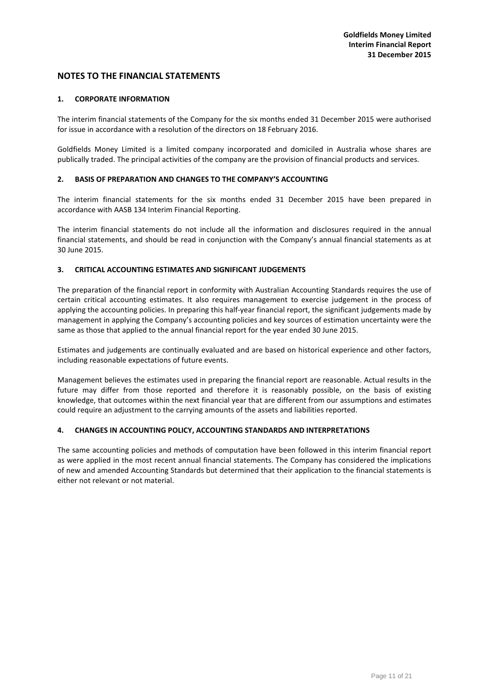## **1. CORPORATE INFORMATION**

The interim financial statements of the Company for the six months ended 31 December 2015 were authorised for issue in accordance with a resolution of the directors on 18 February 2016.

Goldfields Money Limited is a limited company incorporated and domiciled in Australia whose shares are publically traded. The principal activities of the company are the provision of financial products and services.

## **2. BASIS OF PREPARATION AND CHANGES TO THE COMPANY'S ACCOUNTING**

The interim financial statements for the six months ended 31 December 2015 have been prepared in accordance with AASB 134 Interim Financial Reporting.

The interim financial statements do not include all the information and disclosures required in the annual financial statements, and should be read in conjunction with the Company's annual financial statements as at 30 June 2015.

## **3. CRITICAL ACCOUNTING ESTIMATES AND SIGNIFICANT JUDGEMENTS**

The preparation of the financial report in conformity with Australian Accounting Standards requires the use of certain critical accounting estimates. It also requires management to exercise judgement in the process of applying the accounting policies. In preparing this half-year financial report, the significant judgements made by management in applying the Company's accounting policies and key sources of estimation uncertainty were the same as those that applied to the annual financial report for the year ended 30 June 2015.

Estimates and judgements are continually evaluated and are based on historical experience and other factors, including reasonable expectations of future events.

Management believes the estimates used in preparing the financial report are reasonable. Actual results in the future may differ from those reported and therefore it is reasonably possible, on the basis of existing knowledge, that outcomes within the next financial year that are different from our assumptions and estimates could require an adjustment to the carrying amounts of the assets and liabilities reported.

## **4. CHANGES IN ACCOUNTING POLICY, ACCOUNTING STANDARDS AND INTERPRETATIONS**

The same accounting policies and methods of computation have been followed in this interim financial report as were applied in the most recent annual financial statements. The Company has considered the implications of new and amended Accounting Standards but determined that their application to the financial statements is either not relevant or not material.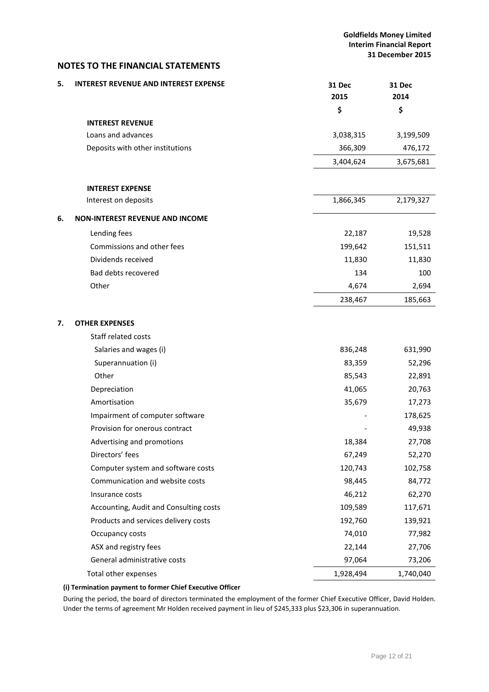<span id="page-12-0"></span>

| 5. | <b>INTEREST REVENUE AND INTEREST EXPENSE</b> | 31 Dec<br>2015 | 31 Dec<br>2014 |
|----|----------------------------------------------|----------------|----------------|
|    |                                              | \$             | \$             |
|    | <b>INTEREST REVENUE</b>                      |                |                |
|    | Loans and advances                           | 3,038,315      | 3,199,509      |
|    | Deposits with other institutions             | 366,309        | 476,172        |
|    |                                              | 3,404,624      | 3,675,681      |
|    | <b>INTEREST EXPENSE</b>                      |                |                |
|    | Interest on deposits                         | 1,866,345      | 2,179,327      |
| 6. | <b>NON-INTEREST REVENUE AND INCOME</b>       |                |                |
|    | Lending fees                                 | 22,187         | 19,528         |
|    | Commissions and other fees                   | 199,642        | 151,511        |
|    | Dividends received                           | 11,830         | 11,830         |
|    | Bad debts recovered                          | 134            | 100            |
|    | Other                                        | 4,674          | 2,694          |
|    |                                              | 238,467        | 185,663        |
|    |                                              |                |                |
| 7. | <b>OTHER EXPENSES</b><br>Staff related costs |                |                |
|    | Salaries and wages (i)                       | 836,248        | 631,990        |
|    | Superannuation (i)                           | 83,359         | 52,296         |
|    | Other                                        | 85,543         | 22,891         |
|    | Depreciation                                 | 41,065         | 20,763         |
|    | Amortisation                                 | 35,679         | 17,273         |
|    | Impairment of computer software              |                | 178,625        |
|    | Provision for onerous contract               |                | 49,938         |
|    | Advertising and promotions                   | 18,384         | 27,708         |
|    | Directors' fees                              | 67,249         | 52,270         |
|    | Computer system and software costs           | 120,743        | 102,758        |
|    | Communication and website costs              | 98,445         | 84,772         |
|    | Insurance costs                              | 46,212         | 62,270         |
|    | Accounting, Audit and Consulting costs       | 109,589        | 117,671        |
|    | Products and services delivery costs         | 192,760        | 139,921        |
|    | Occupancy costs                              | 74,010         | 77,982         |
|    | ASX and registry fees                        | 22,144         | 27,706         |
|    | General administrative costs                 | 97,064         | 73,206         |
|    | Total other expenses                         | 1,928,494      | 1,740,040      |

## **(i) Termination payment to former Chief Executive Officer**

During the period, the board of directors terminated the employment of the former Chief Executive Officer, David Holden. Under the terms of agreement Mr Holden received payment in lieu of \$245,333 plus \$23,306 in superannuation.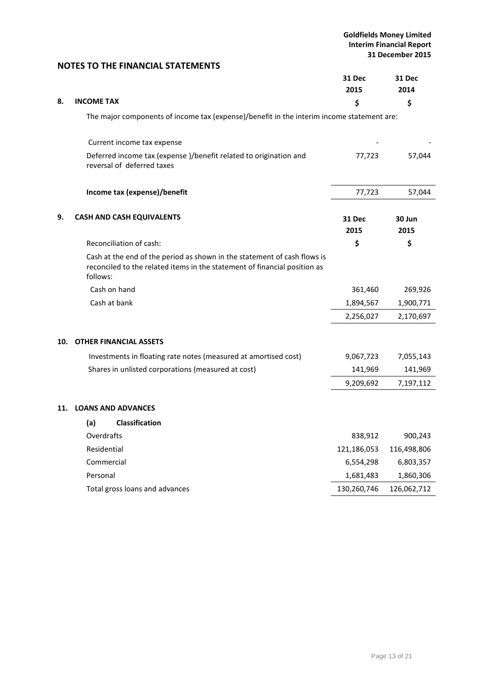|     |                                                                                                                                                                   | 31 Dec<br>2015        | <b>31 Dec</b><br>2014 |
|-----|-------------------------------------------------------------------------------------------------------------------------------------------------------------------|-----------------------|-----------------------|
| 8.  | <b>INCOME TAX</b>                                                                                                                                                 | \$                    | \$                    |
|     | The major components of income tax (expense)/benefit in the interim income statement are:                                                                         |                       |                       |
|     | Current income tax expense                                                                                                                                        |                       |                       |
|     | Deferred income tax (expense )/benefit related to origination and<br>reversal of deferred taxes                                                                   | 77,723                | 57,044                |
|     | Income tax (expense)/benefit                                                                                                                                      | 77,723                | 57,044                |
| 9.  | <b>CASH AND CASH EQUIVALENTS</b>                                                                                                                                  | <b>31 Dec</b><br>2015 | 30 Jun<br>2015        |
|     | Reconciliation of cash:                                                                                                                                           | \$                    | \$                    |
|     | Cash at the end of the period as shown in the statement of cash flows is<br>reconciled to the related items in the statement of financial position as<br>follows: |                       |                       |
|     | Cash on hand                                                                                                                                                      | 361,460               | 269,926               |
|     | Cash at bank                                                                                                                                                      | 1,894,567             | 1,900,771             |
|     |                                                                                                                                                                   | 2,256,027             | 2,170,697             |
| 10. | <b>OTHER FINANCIAL ASSETS</b>                                                                                                                                     |                       |                       |
|     | Investments in floating rate notes (measured at amortised cost)                                                                                                   | 9,067,723             | 7,055,143             |
|     | Shares in unlisted corporations (measured at cost)                                                                                                                | 141,969               | 141,969               |
|     |                                                                                                                                                                   | 9,209,692             | 7,197,112             |
| 11. | <b>LOANS AND ADVANCES</b>                                                                                                                                         |                       |                       |
|     | <b>Classification</b><br>(a)                                                                                                                                      |                       |                       |
|     | Overdrafts                                                                                                                                                        | 838,912               | 900,243               |
|     | Residential                                                                                                                                                       | 121,186,053           | 116,498,806           |
|     | Commercial                                                                                                                                                        | 6,554,298             | 6,803,357             |
|     | Personal                                                                                                                                                          | 1,681,483             | 1,860,306             |
|     | Total gross loans and advances                                                                                                                                    | 130,260,746           | 126,062,712           |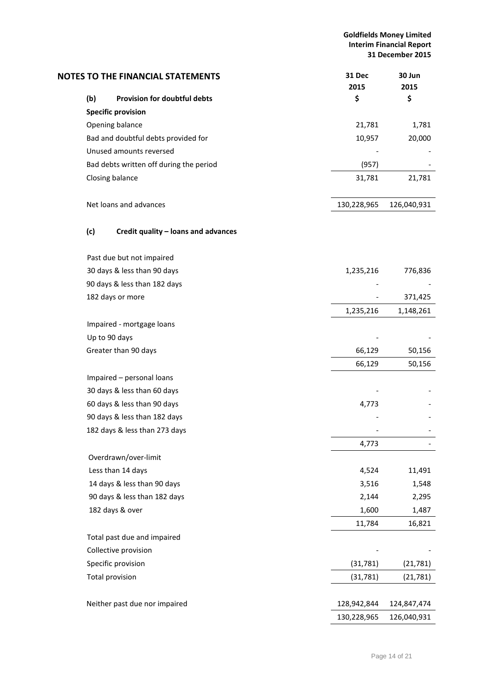**Goldfields Money Limited Interim Financial Report 31 December 2015**

|     | <b>NOTES TO THE FINANCIAL STATEMENTS</b> | 31 Dec<br>2015 | 30 Jun<br>2015 |
|-----|------------------------------------------|----------------|----------------|
| (b) | Provision for doubtful debts             | \$             | \$             |
|     | <b>Specific provision</b>                |                |                |
|     | Opening balance                          | 21,781         | 1,781          |
|     | Bad and doubtful debts provided for      | 10,957         | 20,000         |
|     | Unused amounts reversed                  |                |                |
|     | Bad debts written off during the period  | (957)          |                |
|     | Closing balance                          | 31,781         | 21,781         |
|     | Net loans and advances                   | 130,228,965    | 126,040,931    |
| (c) | Credit quality - loans and advances      |                |                |
|     | Past due but not impaired                |                |                |
|     | 30 days & less than 90 days              | 1,235,216      | 776,836        |
|     | 90 days & less than 182 days             |                |                |
|     | 182 days or more                         |                | 371,425        |
|     |                                          | 1,235,216      | 1,148,261      |
|     | Impaired - mortgage loans                |                |                |
|     | Up to 90 days                            |                |                |
|     | Greater than 90 days                     | 66,129         | 50,156         |
|     |                                          | 66,129         | 50,156         |
|     | Impaired - personal loans                |                |                |
|     | 30 days & less than 60 days              |                |                |
|     | 60 days & less than 90 days              | 4,773          |                |
|     | 90 days & less than 182 days             |                |                |
|     | 182 days & less than 273 days            |                |                |
|     |                                          | 4,773          |                |
|     | Overdrawn/over-limit                     |                |                |
|     | Less than 14 days                        | 4,524          | 11,491         |
|     | 14 days & less than 90 days              | 3,516          | 1,548          |
|     | 90 days & less than 182 days             | 2,144          | 2,295          |
|     | 182 days & over                          | 1,600          | 1,487          |
|     |                                          | 11,784         | 16,821         |
|     | Total past due and impaired              |                |                |
|     | Collective provision                     |                |                |
|     | Specific provision                       | (31, 781)      | (21, 781)      |
|     | <b>Total provision</b>                   | (31, 781)      | (21, 781)      |
|     |                                          |                |                |
|     | Neither past due nor impaired            | 128,942,844    | 124,847,474    |
|     |                                          | 130,228,965    | 126,040,931    |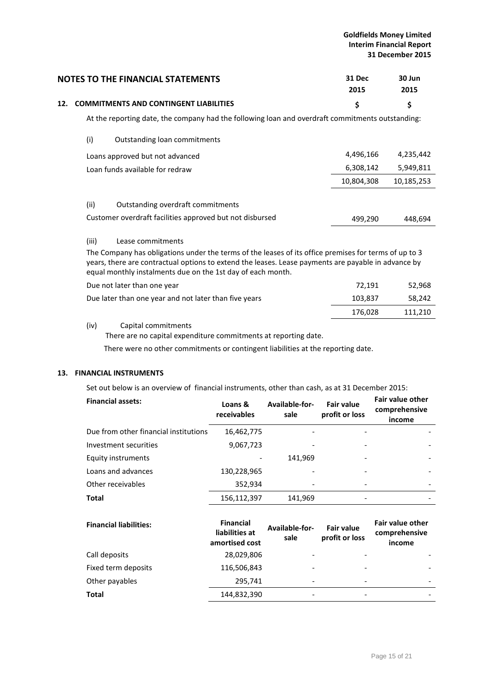## **Goldfields Money Limited Interim Financial Report 31 December 2015**

| <b>NOTES TO THE FINANCIAL STATEMENTS</b>                                                         | 31 Dec<br>2015 | 30 Jun<br>2015 |
|--------------------------------------------------------------------------------------------------|----------------|----------------|
| 12. COMMITMENTS AND CONTINGENT LIABILITIES                                                       |                |                |
| At the reporting date, the company had the following loan and overdraft commitments outstanding: |                |                |

| (i)<br>Outstanding loan commitments                      |            |            |
|----------------------------------------------------------|------------|------------|
| Loans approved but not advanced                          | 4,496,166  | 4,235,442  |
| Loan funds available for redraw                          | 6,308,142  | 5,949,811  |
|                                                          | 10,804,308 | 10,185,253 |
| (ii)<br>Outstanding overdraft commitments                |            |            |
| Customer overdraft facilities approved but not disbursed | 499,290    | 448.694    |

## (iii) Lease commitments

The Company has obligations under the terms of the leases of its office premises for terms of up to 3 years, there are contractual options to extend the leases. Lease payments are payable in advance by equal monthly instalments due on the 1st day of each month.

| Due not later than one year                           | 72.191  | 52.968  |
|-------------------------------------------------------|---------|---------|
| Due later than one year and not later than five years | 103.837 | 58.242  |
|                                                       | 176.028 | 111.210 |

## (iv) Capital commitments

There are no capital expenditure commitments at reporting date.

There were no other commitments or contingent liabilities at the reporting date.

# **13. FINANCIAL INSTRUMENTS**

Set out below is an overview of financial instruments, other than cash, as at 31 December 2015:

| <b>Financial assets:</b>              | Loans &<br>receivables | Available-for-<br>sale   | <b>Fair value</b><br>profit or loss | <b>Fair value other</b><br>comprehensive<br>income |
|---------------------------------------|------------------------|--------------------------|-------------------------------------|----------------------------------------------------|
| Due from other financial institutions | 16,462,775             |                          |                                     |                                                    |
| Investment securities                 | 9,067,723              |                          |                                     |                                                    |
| Equity instruments                    |                        | 141,969                  |                                     |                                                    |
| Loans and advances                    | 130,228,965            |                          |                                     |                                                    |
| Other receivables                     | 352,934                | $\overline{\phantom{0}}$ |                                     |                                                    |
| <b>Total</b>                          | 156,112,397            | 141,969                  |                                     |                                                    |

| <b>Financial liabilities:</b> | <b>Financial</b><br>liabilities at<br>amortised cost | Available-for-<br>sale   | <b>Fair value</b><br>profit or loss | <b>Fair value other</b><br>comprehensive<br>income |
|-------------------------------|------------------------------------------------------|--------------------------|-------------------------------------|----------------------------------------------------|
| Call deposits                 | 28,029,806                                           |                          |                                     |                                                    |
| Fixed term deposits           | 116,506,843                                          |                          |                                     |                                                    |
| Other payables                | 295,741                                              | $\overline{\phantom{a}}$ |                                     |                                                    |
| <b>Total</b>                  | 144,832,390                                          |                          |                                     |                                                    |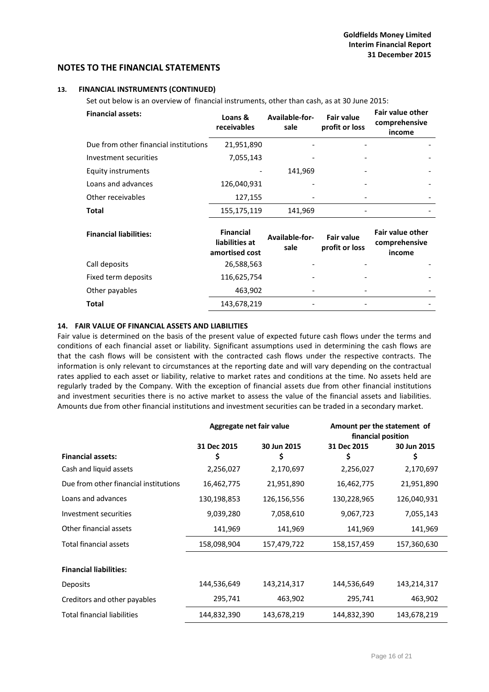## **13. FINANCIAL INSTRUMENTS (CONTINUED)**

Set out below is an overview of financial instruments, other than cash, as at 30 June 2015:

| <b>Financial assets:</b>              | Loans &<br>receivables                               | Available-for-<br>sale | <b>Fair value</b><br>profit or loss | <b>Fair value other</b><br>comprehensive<br>income |
|---------------------------------------|------------------------------------------------------|------------------------|-------------------------------------|----------------------------------------------------|
| Due from other financial institutions | 21,951,890                                           |                        |                                     |                                                    |
| Investment securities                 | 7,055,143                                            |                        |                                     |                                                    |
| Equity instruments                    |                                                      | 141,969                |                                     |                                                    |
| Loans and advances                    | 126,040,931                                          |                        |                                     |                                                    |
| Other receivables                     | 127,155                                              |                        |                                     |                                                    |
| Total                                 | 155,175,119                                          | 141,969                |                                     |                                                    |
| <b>Financial liabilities:</b>         | <b>Financial</b><br>liabilities at<br>amortised cost | Available-for-<br>sale | <b>Fair value</b><br>profit or loss | <b>Fair value other</b><br>comprehensive<br>income |
| Call deposits                         | 26,588,563                                           |                        |                                     |                                                    |
| Fixed term deposits                   | 116,625,754                                          |                        |                                     |                                                    |
| Other payables                        | 463,902                                              |                        |                                     |                                                    |
| <b>Total</b>                          | 143,678,219                                          |                        |                                     |                                                    |

## **14. FAIR VALUE OF FINANCIAL ASSETS AND LIABILITIES**

Fair value is determined on the basis of the present value of expected future cash flows under the terms and conditions of each financial asset or liability. Significant assumptions used in determining the cash flows are that the cash flows will be consistent with the contracted cash flows under the respective contracts. The information is only relevant to circumstances at the reporting date and will vary depending on the contractual rates applied to each asset or liability, relative to market rates and conditions at the time. No assets held are regularly traded by the Company. With the exception of financial assets due from other financial institutions and investment securities there is no active market to assess the value of the financial assets and liabilities. Amounts due from other financial institutions and investment securities can be traded in a secondary market.

|                                       | Aggregate net fair value |             | Amount per the statement of<br>financial position |             |
|---------------------------------------|--------------------------|-------------|---------------------------------------------------|-------------|
|                                       | 31 Dec 2015              | 30 Jun 2015 | 31 Dec 2015                                       | 30 Jun 2015 |
| <b>Financial assets:</b>              | \$                       | \$          | \$                                                | \$          |
| Cash and liquid assets                | 2,256,027                | 2,170,697   | 2,256,027                                         | 2,170,697   |
| Due from other financial institutions | 16,462,775               | 21,951,890  | 16,462,775                                        | 21,951,890  |
| Loans and advances                    | 130,198,853              | 126,156,556 | 130,228,965                                       | 126,040,931 |
| Investment securities                 | 9,039,280                | 7,058,610   | 9,067,723                                         | 7,055,143   |
| Other financial assets                | 141,969                  | 141,969     | 141,969                                           | 141,969     |
| Total financial assets                | 158,098,904              | 157,479,722 | 158,157,459                                       | 157,360,630 |
|                                       |                          |             |                                                   |             |
| <b>Financial liabilities:</b>         |                          |             |                                                   |             |
| <b>Deposits</b>                       | 144,536,649              | 143,214,317 | 144,536,649                                       | 143,214,317 |
| Creditors and other payables          | 295,741                  | 463,902     | 295,741                                           | 463,902     |
| <b>Total financial liabilities</b>    | 144,832,390              | 143,678,219 | 144,832,390                                       | 143,678,219 |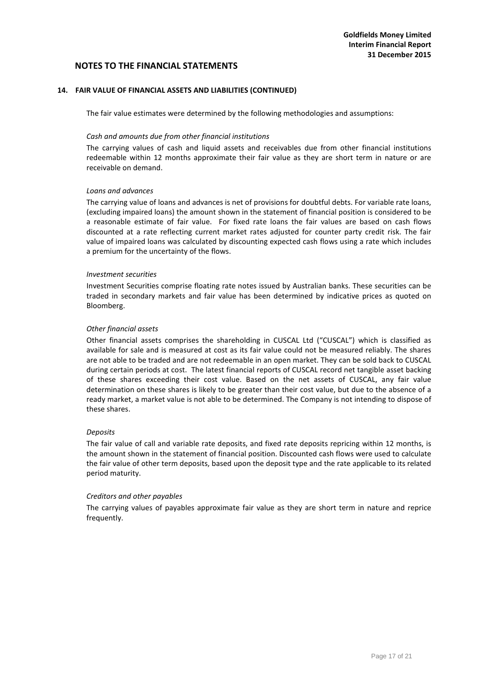## **14. FAIR VALUE OF FINANCIAL ASSETS AND LIABILITIES (CONTINUED)**

The fair value estimates were determined by the following methodologies and assumptions:

#### *Cash and amounts due from other financial institutions*

The carrying values of cash and liquid assets and receivables due from other financial institutions redeemable within 12 months approximate their fair value as they are short term in nature or are receivable on demand.

## *Loans and advances*

The carrying value of loans and advances is net of provisions for doubtful debts. For variable rate loans, (excluding impaired loans) the amount shown in the statement of financial position is considered to be a reasonable estimate of fair value. For fixed rate loans the fair values are based on cash flows discounted at a rate reflecting current market rates adjusted for counter party credit risk. The fair value of impaired loans was calculated by discounting expected cash flows using a rate which includes a premium for the uncertainty of the flows.

## *Investment securities*

Investment Securities comprise floating rate notes issued by Australian banks. These securities can be traded in secondary markets and fair value has been determined by indicative prices as quoted on Bloomberg.

## *Other financial assets*

Other financial assets comprises the shareholding in CUSCAL Ltd ("CUSCAL") which is classified as available for sale and is measured at cost as its fair value could not be measured reliably. The shares are not able to be traded and are not redeemable in an open market. They can be sold back to CUSCAL during certain periods at cost. The latest financial reports of CUSCAL record net tangible asset backing of these shares exceeding their cost value. Based on the net assets of CUSCAL, any fair value determination on these shares is likely to be greater than their cost value, but due to the absence of a ready market, a market value is not able to be determined. The Company is not intending to dispose of these shares.

#### *Deposits*

The fair value of call and variable rate deposits, and fixed rate deposits repricing within 12 months, is the amount shown in the statement of financial position. Discounted cash flows were used to calculate the fair value of other term deposits, based upon the deposit type and the rate applicable to its related period maturity.

#### *Creditors and other payables*

The carrying values of payables approximate fair value as they are short term in nature and reprice frequently.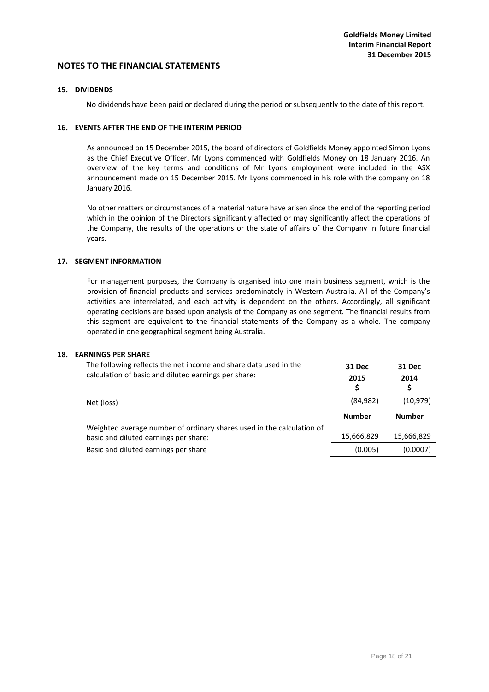## **15. DIVIDENDS**

No dividends have been paid or declared during the period or subsequently to the date of this report.

## **16. EVENTS AFTER THE END OF THE INTERIM PERIOD**

As announced on 15 December 2015, the board of directors of Goldfields Money appointed Simon Lyons as the Chief Executive Officer. Mr Lyons commenced with Goldfields Money on 18 January 2016. An overview of the key terms and conditions of Mr Lyons employment were included in the ASX announcement made on 15 December 2015. Mr Lyons commenced in his role with the company on 18 January 2016.

No other matters or circumstances of a material nature have arisen since the end of the reporting period which in the opinion of the Directors significantly affected or may significantly affect the operations of the Company, the results of the operations or the state of affairs of the Company in future financial years.

## **17. SEGMENT INFORMATION**

For management purposes, the Company is organised into one main business segment, which is the provision of financial products and services predominately in Western Australia. All of the Company's activities are interrelated, and each activity is dependent on the others. Accordingly, all significant operating decisions are based upon analysis of the Company as one segment. The financial results from this segment are equivalent to the financial statements of the Company as a whole. The company operated in one geographical segment being Australia.

## **18. EARNINGS PER SHARE**

| The following reflects the net income and share data used in the<br>calculation of basic and diluted earnings per share: | 31 Dec<br>2015<br>\$ | 31 Dec<br>2014<br>\$ |
|--------------------------------------------------------------------------------------------------------------------------|----------------------|----------------------|
| Net (loss)                                                                                                               | (84, 982)            | (10, 979)            |
|                                                                                                                          | <b>Number</b>        | <b>Number</b>        |
| Weighted average number of ordinary shares used in the calculation of<br>basic and diluted earnings per share:           | 15,666,829           | 15,666,829           |
| Basic and diluted earnings per share                                                                                     | (0.005)              | (0.0007)             |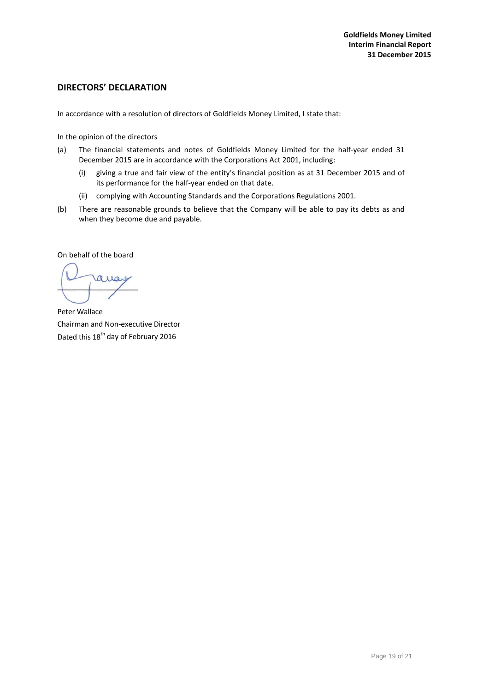# <span id="page-19-0"></span>**DIRECTORS' DECLARATION**

In accordance with a resolution of directors of Goldfields Money Limited, I state that:

In the opinion of the directors

- (a) The financial statements and notes of Goldfields Money Limited for the half-year ended 31 December 2015 are in accordance with the Corporations Act 2001, including:
	- (i) giving a true and fair view of the entity's financial position as at 31 December 2015 and of its performance for the half-year ended on that date.
	- (ii) complying with Accounting Standards and the Corporations Regulations 2001.
- (b) There are reasonable grounds to believe that the Company will be able to pay its debts as and when they become due and payable.

On behalf of the board

ro

Peter Wallace Chairman and Non-executive Director Dated this 18<sup>th</sup> day of February 2016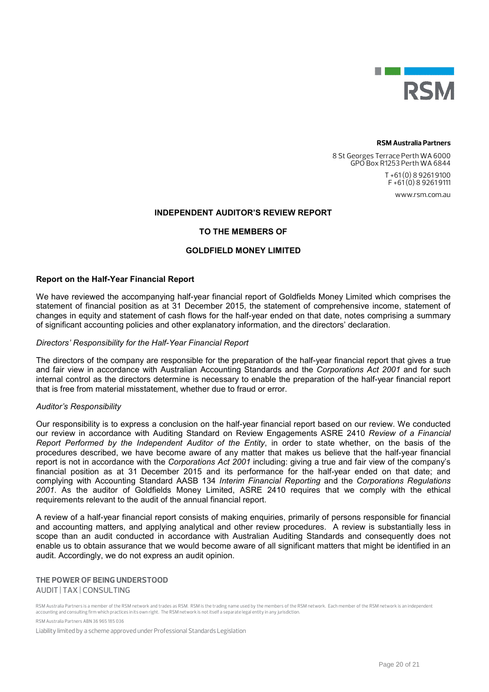

#### **RSM Australia Partners**

8 St Georges Terrace Perth WA 6000 GPO Box R1253 Perth WA 6844 T +61 (0) 8 9261 9100  $F + 61(0)892619111$ 

www.rsm.com.au

## INDEPENDENT AUDITOR'S REVIEW REPORT

## TO THE MEMBERS OF

## GOLDFIELD MONEY LIMITED

#### Report on the Half-Year Financial Report

We have reviewed the accompanying half-year financial report of Goldfields Money Limited which comprises the statement of financial position as at 31 December 2015, the statement of comprehensive income, statement of changes in equity and statement of cash flows for the half-year ended on that date, notes comprising a summary of significant accounting policies and other explanatory information, and the directors' declaration.

#### *Directors' Responsibility for the Half-Year Financial Report*

The directors of the company are responsible for the preparation of the half-year financial report that gives a true and fair view in accordance with Australian Accounting Standards and the *Corporations Act 2001* and for such internal control as the directors determine is necessary to enable the preparation of the half-year financial report that is free from material misstatement, whether due to fraud or error.

#### *Auditor's Responsibility*

Our responsibility is to express a conclusion on the half-year financial report based on our review. We conducted our review in accordance with Auditing Standard on Review Engagements ASRE 2410 *Review of a Financial Report Performed by the Independent Auditor of the Entity*, in order to state whether, on the basis of the procedures described, we have become aware of any matter that makes us believe that the half-year financial report is not in accordance with the *Corporations Act 2001* including: giving a true and fair view of the company's financial position as at 31 December 2015 and its performance for the half-year ended on that date; and complying with Accounting Standard AASB 134 *Interim Financial Reporting* and the *Corporations Regulations 2001*. As the auditor of Goldfields Money Limited, ASRE 2410 requires that we comply with the ethical requirements relevant to the audit of the annual financial report.

A review of a half-year financial report consists of making enquiries, primarily of persons responsible for financial and accounting matters, and applying analytical and other review procedures. A review is substantially less in scope than an audit conducted in accordance with Australian Auditing Standards and consequently does not enable us to obtain assurance that we would become aware of all significant matters that might be identified in an audit. Accordingly, we do not express an audit opinion.

# **THE POWER OF BEING UNDERSTOOD**  AUDIT | TAX | CONSULTING

RSM Australia Partners is a member of the RSM network and trades as RSM. RSM is the trading name used by the members of the RSM network. Each member of the RSM network is an independent accounting and consulting firm which practices in its own right. The RSM network is not itself a separate legal entity in any jurisdiction.

RSM Australia Partners ABN 36 965 185 036

Liability limited by a scheme approved under Professional Standards Legislation